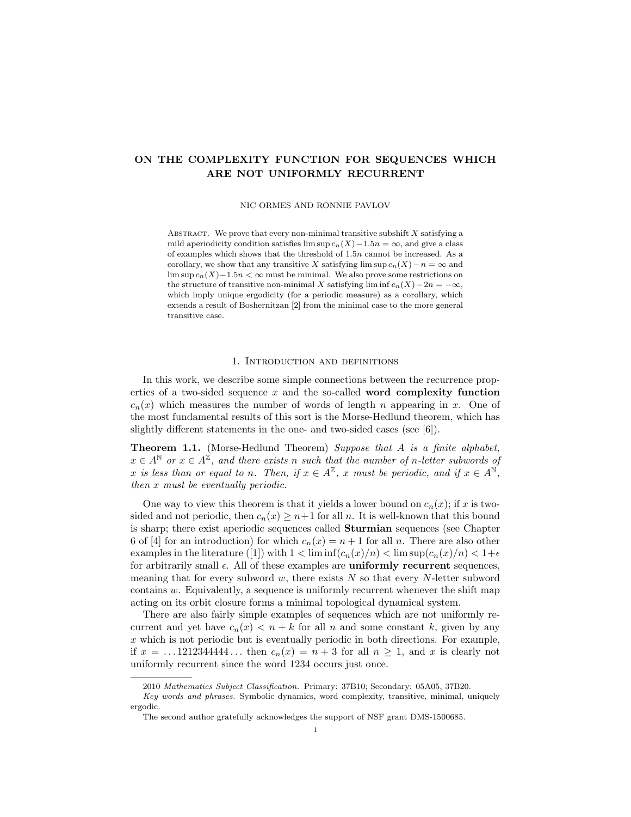# ON THE COMPLEXITY FUNCTION FOR SEQUENCES WHICH ARE NOT UNIFORMLY RECURRENT

NIC ORMES AND RONNIE PAVLOV

ABSTRACT. We prove that every non-minimal transitive subshift  $X$  satisfying a mild aperiodicity condition satisfies lim sup  $c_n(X)-1.5n = \infty$ , and give a class of examples which shows that the threshold of 1.5n cannot be increased. As a corollary, we show that any transitive X satisfying lim sup  $c_n(X)-n = \infty$  and lim sup  $c_n(X)-1.5n < \infty$  must be minimal. We also prove some restrictions on the structure of transitive non-minimal X satisfying lim inf  $c_n(X) - 2n = -\infty$ , which imply unique ergodicity (for a periodic measure) as a corollary, which extends a result of Boshernitzan [2] from the minimal case to the more general transitive case.

#### 1. Introduction and definitions

In this work, we describe some simple connections between the recurrence properties of a two-sided sequence  $x$  and the so-called **word complexity function**  $c_n(x)$  which measures the number of words of length n appearing in x. One of the most fundamental results of this sort is the Morse-Hedlund theorem, which has slightly different statements in the one- and two-sided cases (see [6]).

Theorem 1.1. (Morse-Hedlund Theorem) Suppose that A is a finite alphabet,  $x \in A^{\mathbb{N}}$  or  $x \in A^{\mathbb{Z}}$ , and there exists n such that the number of n-letter subwords of x is less than or equal to n. Then, if  $x \in A^{\mathbb{Z}}$ , x must be periodic, and if  $x \in A^{\mathbb{N}}$ , then x must be eventually periodic.

One way to view this theorem is that it yields a lower bound on  $c_n(x)$ ; if x is twosided and not periodic, then  $c_n(x) \geq n+1$  for all n. It is well-known that this bound is sharp; there exist aperiodic sequences called Sturmian sequences (see Chapter 6 of [4] for an introduction) for which  $c_n(x) = n + 1$  for all n. There are also other examples in the literature ([1]) with  $1 < \liminf(c_n(x)/n) < \limsup(c_n(x)/n) < 1+\epsilon$ for arbitrarily small  $\epsilon$ . All of these examples are **uniformly recurrent** sequences, meaning that for every subword  $w$ , there exists  $N$  so that every  $N$ -letter subword contains  $w$ . Equivalently, a sequence is uniformly recurrent whenever the shift map acting on its orbit closure forms a minimal topological dynamical system.

There are also fairly simple examples of sequences which are not uniformly recurrent and yet have  $c_n(x) < n + k$  for all n and some constant k, given by any  $x$  which is not periodic but is eventually periodic in both directions. For example, if  $x = ... 121234444...$  then  $c_n(x) = n + 3$  for all  $n \ge 1$ , and x is clearly not uniformly recurrent since the word 1234 occurs just once.

<sup>2010</sup> Mathematics Subject Classification. Primary: 37B10; Secondary: 05A05, 37B20.

Key words and phrases. Symbolic dynamics, word complexity, transitive, minimal, uniquely ergodic.

The second author gratefully acknowledges the support of NSF grant DMS-1500685.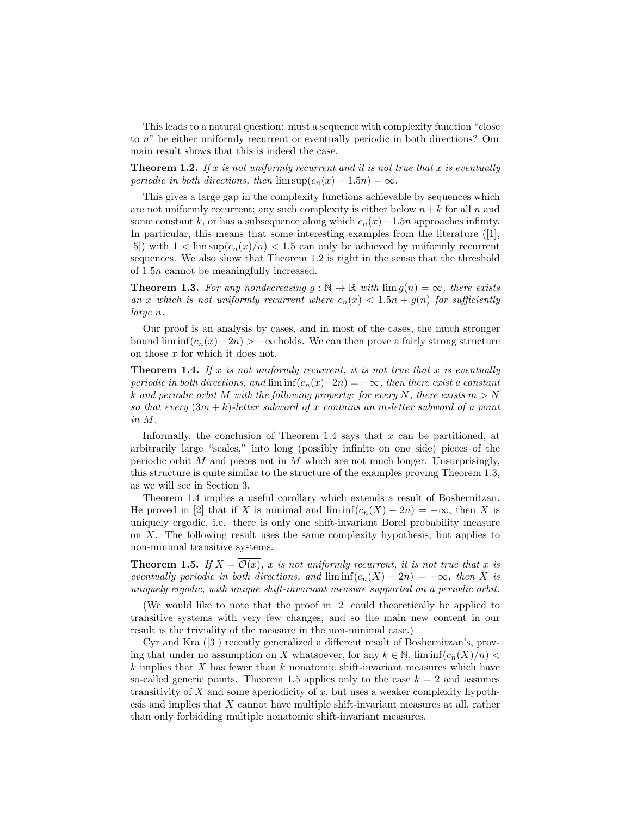This leads to a natural question: must a sequence with complexity function "close to n" be either uniformly recurrent or eventually periodic in both directions? Our main result shows that this is indeed the case.

**Theorem 1.2.** If x is not uniformly recurrent and it is not true that x is eventually periodic in both directions, then  $\limsup(c_n(x) - 1.5n) = \infty$ .

This gives a large gap in the complexity functions achievable by sequences which are not uniformly recurrent; any such complexity is either below  $n+k$  for all n and some constant k, or has a subsequence along which  $c_n(x)-1.5n$  approaches infinity. In particular, this means that some interesting examples from the literature ([1], [5]) with  $1 < \limsup(c_n(x)/n) < 1.5$  can only be achieved by uniformly recurrent sequences. We also show that Theorem 1.2 is tight in the sense that the threshold of 1.5n cannot be meaningfully increased.

**Theorem 1.3.** For any nondecreasing  $g : \mathbb{N} \to \mathbb{R}$  with  $\lim g(n) = \infty$ , there exists an x which is not uniformly recurrent where  $c_n(x) < 1.5n + g(n)$  for sufficiently large n.

Our proof is an analysis by cases, and in most of the cases, the much stronger bound  $\liminf(c_n(x)-2n) > -\infty$  holds. We can then prove a fairly strong structure on those x for which it does not.

**Theorem 1.4.** If x is not uniformly recurrent, it is not true that x is eventually periodic in both directions, and  $\liminf(c_n(x)-2n) = -\infty$ , then there exist a constant k and periodic orbit M with the following property: for every N, there exists  $m > N$ so that every  $(3m + k)$ -letter subword of x contains an m-letter subword of a point in M.

Informally, the conclusion of Theorem 1.4 says that  $x$  can be partitioned, at arbitrarily large "scales," into long (possibly infinite on one side) pieces of the periodic orbit  $M$  and pieces not in  $M$  which are not much longer. Unsurprisingly, this structure is quite similar to the structure of the examples proving Theorem 1.3, as we will see in Section 3.

Theorem 1.4 implies a useful corollary which extends a result of Boshernitzan. He proved in [2] that if X is minimal and  $\liminf(c_n(X) - 2n) = -\infty$ , then X is uniquely ergodic, i.e. there is only one shift-invariant Borel probability measure on X. The following result uses the same complexity hypothesis, but applies to non-minimal transitive systems.

**Theorem 1.5.** If  $X = \overline{\mathcal{O}(x)}$ , x is not uniformly recurrent, it is not true that x is eventually periodic in both directions, and  $\liminf(c_n(X) - 2n) = -\infty$ , then X is uniquely ergodic, with unique shift-invariant measure supported on a periodic orbit.

(We would like to note that the proof in [2] could theoretically be applied to transitive systems with very few changes, and so the main new content in our result is the triviality of the measure in the non-minimal case.)

Cyr and Kra ([3]) recently generalized a different result of Boshernitzan's, proving that under no assumption on X whatsoever, for any  $k \in \mathbb{N}$ ,  $\liminf(c_n(X)/n)$ k implies that X has fewer than k nonatomic shift-invariant measures which have so-called generic points. Theorem 1.5 applies only to the case  $k = 2$  and assumes transitivity of  $X$  and some aperiodicity of  $x$ , but uses a weaker complexity hypothesis and implies that X cannot have multiple shift-invariant measures at all, rather than only forbidding multiple nonatomic shift-invariant measures.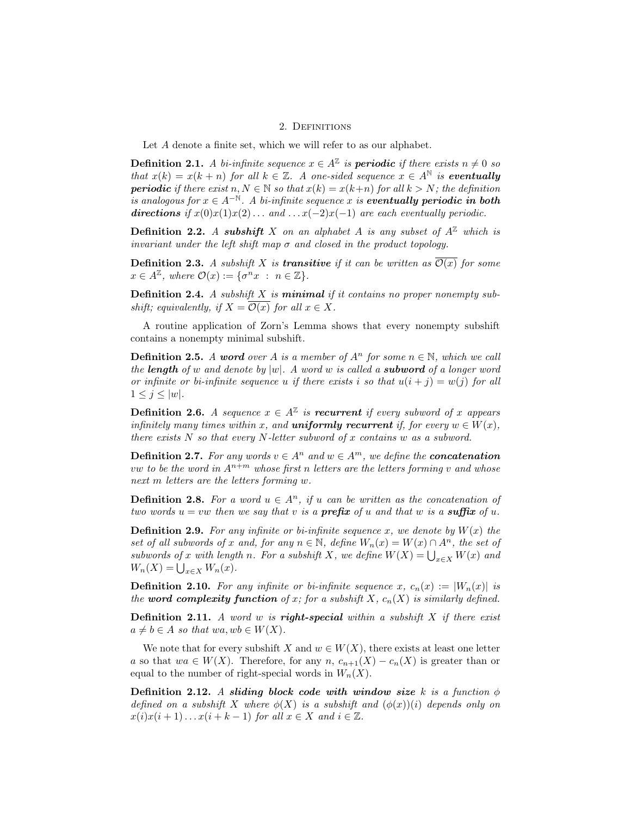### 2. DEFINITIONS

Let A denote a finite set, which we will refer to as our alphabet.

**Definition 2.1.** A bi-infinite sequence  $x \in A^{\mathbb{Z}}$  is **periodic** if there exists  $n \neq 0$  so that  $x(k) = x(k+n)$  for all  $k \in \mathbb{Z}$ . A one-sided sequence  $x \in A^{\mathbb{N}}$  is **eventually periodic** if there exist  $n, N \in \mathbb{N}$  so that  $x(k) = x(k+n)$  for all  $k > N$ ; the definition is analogous for  $x \in A^{-\mathbb{N}}$ . A bi-infinite sequence x is eventually periodic in both directions if  $x(0)x(1)x(2)...$  and  $...x(-2)x(-1)$  are each eventually periodic.

**Definition 2.2.** A subshift X on an alphabet A is any subset of  $A^{\mathbb{Z}}$  which is invariant under the left shift map  $\sigma$  and closed in the product topology.

**Definition 2.3.** A subshift X is **transitive** if it can be written as  $\overline{\mathcal{O}(x)}$  for some  $x \in A^{\mathbb{Z}}$ , where  $\mathcal{O}(x) := \{ \sigma^n x : n \in \mathbb{Z} \}.$ 

**Definition 2.4.** A subshift  $X$  is **minimal** if it contains no proper nonempty subshift; equivalently, if  $X = \overline{\mathcal{O}(x)}$  for all  $x \in X$ .

A routine application of Zorn's Lemma shows that every nonempty subshift contains a nonempty minimal subshift.

**Definition 2.5.** A word over A is a member of  $A^n$  for some  $n \in \mathbb{N}$ , which we call the **length** of w and denote by  $|w|$ . A word w is called a **subword** of a longer word or infinite or bi-infinite sequence u if there exists i so that  $u(i + j) = w(j)$  for all  $1 \leq j \leq |w|$ .

**Definition 2.6.** A sequence  $x \in A^{\mathbb{Z}}$  is **recurrent** if every subword of x appears infinitely many times within x, and **uniformly recurrent** if, for every  $w \in W(x)$ , there exists  $N$  so that every  $N$ -letter subword of  $x$  contains  $w$  as a subword.

**Definition 2.7.** For any words  $v \in A^n$  and  $w \in A^m$ , we define the **concatenation** vw to be the word in  $A^{n+m}$  whose first n letters are the letters forming v and whose next m letters are the letters forming w.

**Definition 2.8.** For a word  $u \in A^n$ , if u can be written as the concatenation of two words  $u = vw$  then we say that v is a **prefix** of u and that w is a **suffix** of u.

**Definition 2.9.** For any infinite or bi-infinite sequence x, we denote by  $W(x)$  the set of all subwords of x and, for any  $n \in \mathbb{N}$ , define  $W_n(x) = W(x) \cap A^n$ , the set of subwords of x with length n. For a subshift X, we define  $W(X) = \bigcup_{x \in X} W(x)$  and  $W_n(X) = \bigcup_{x \in X} W_n(x).$ 

**Definition 2.10.** For any infinite or bi-infinite sequence x,  $c_n(x) := |W_n(x)|$  is the word complexity function of x; for a subshift X,  $c_n(X)$  is similarly defined.

**Definition 2.11.** A word w is **right-special** within a subshift  $X$  if there exist  $a \neq b \in A$  so that wa, w $b \in W(X)$ .

We note that for every subshift X and  $w \in W(X)$ , there exists at least one letter a so that  $wa \in W(X)$ . Therefore, for any n,  $c_{n+1}(X) - c_n(X)$  is greater than or equal to the number of right-special words in  $W_n(X)$ .

Definition 2.12. A sliding block code with window size k is a function  $\phi$ defined on a subshift X where  $\phi(X)$  is a subshift and  $(\phi(x))(i)$  depends only on  $x(i)x(i+1)...x(i+k-1)$  for all  $x \in X$  and  $i \in \mathbb{Z}$ .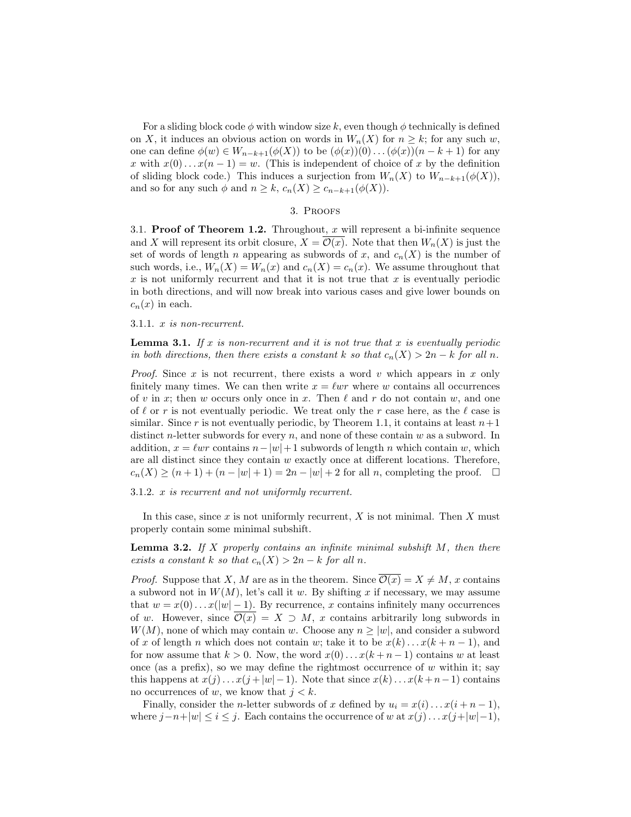For a sliding block code  $\phi$  with window size k, even though  $\phi$  technically is defined on X, it induces an obvious action on words in  $W_n(X)$  for  $n \geq k$ ; for any such w, one can define  $\phi(w) \in W_{n-k+1}(\phi(X))$  to be  $(\phi(x))(0) \dots (\phi(x))(n-k+1)$  for any x with  $x(0)...x(n-1) = w$ . (This is independent of choice of x by the definition of sliding block code.) This induces a surjection from  $W_n(X)$  to  $W_{n-k+1}(\phi(X)),$ and so for any such  $\phi$  and  $n \geq k$ ,  $c_n(X) \geq c_{n-k+1}(\phi(X))$ .

### 3. Proofs

3.1. **Proof of Theorem 1.2.** Throughout,  $x$  will represent a bi-infinite sequence and X will represent its orbit closure,  $X = \mathcal{O}(x)$ . Note that then  $W_n(X)$  is just the set of words of length n appearing as subwords of x, and  $c_n(X)$  is the number of such words, i.e.,  $W_n(X) = W_n(x)$  and  $c_n(X) = c_n(x)$ . We assume throughout that x is not uniformly recurrent and that it is not true that  $x$  is eventually periodic in both directions, and will now break into various cases and give lower bounds on  $c_n(x)$  in each.

#### 3.1.1. x is non-recurrent.

**Lemma 3.1.** If x is non-recurrent and it is not true that x is eventually periodic in both directions, then there exists a constant k so that  $c_n(X) > 2n - k$  for all n.

*Proof.* Since x is not recurrent, there exists a word v which appears in x only finitely many times. We can then write  $x = \ell wr$  where w contains all occurrences of v in x; then w occurs only once in x. Then  $\ell$  and r do not contain w, and one of  $\ell$  or r is not eventually periodic. We treat only the r case here, as the  $\ell$  case is similar. Since r is not eventually periodic, by Theorem 1.1, it contains at least  $n+1$ distinct *n*-letter subwords for every  $n$ , and none of these contain  $w$  as a subword. In addition,  $x = \ell w r$  contains  $n-|w|+1$  subwords of length n which contain w, which are all distinct since they contain  $w$  exactly once at different locations. Therefore,  $c_n(X) \ge (n+1) + (n - |w| + 1) = 2n - |w| + 2$  for all n, completing the proof.  $\square$ 

3.1.2. x is recurrent and not uniformly recurrent.

In this case, since x is not uniformly recurrent, X is not minimal. Then X must properly contain some minimal subshift.

**Lemma 3.2.** If X properly contains an infinite minimal subshift  $M$ , then there exists a constant k so that  $c_n(X) > 2n - k$  for all n.

*Proof.* Suppose that X, M are as in the theorem. Since  $\overline{\mathcal{O}(x)} = X \neq M$ , x contains a subword not in  $W(M)$ , let's call it w. By shifting x if necessary, we may assume that  $w = x(0) \dots x(|w| - 1)$ . By recurrence, x contains infinitely many occurrences of w. However, since  $\overline{\mathcal{O}(x)} = X \supset M$ , x contains arbitrarily long subwords in  $W(M)$ , none of which may contain w. Choose any  $n \geq |w|$ , and consider a subword of x of length n which does not contain w; take it to be  $x(k) \dots x(k+n-1)$ , and for now assume that  $k > 0$ . Now, the word  $x(0) \dots x(k+n-1)$  contains w at least once (as a prefix), so we may define the rightmost occurrence of  $w$  within it; say this happens at  $x(j) \ldots x(j + |w| - 1)$ . Note that since  $x(k) \ldots x(k + n - 1)$  contains no occurrences of w, we know that  $j < k$ .

Finally, consider the *n*-letter subwords of x defined by  $u_i = x(i) \dots x(i+n-1)$ , where  $j-n+|w| \leq i \leq j$ . Each contains the occurrence of w at  $x(j) \dots x(j+|w|-1)$ ,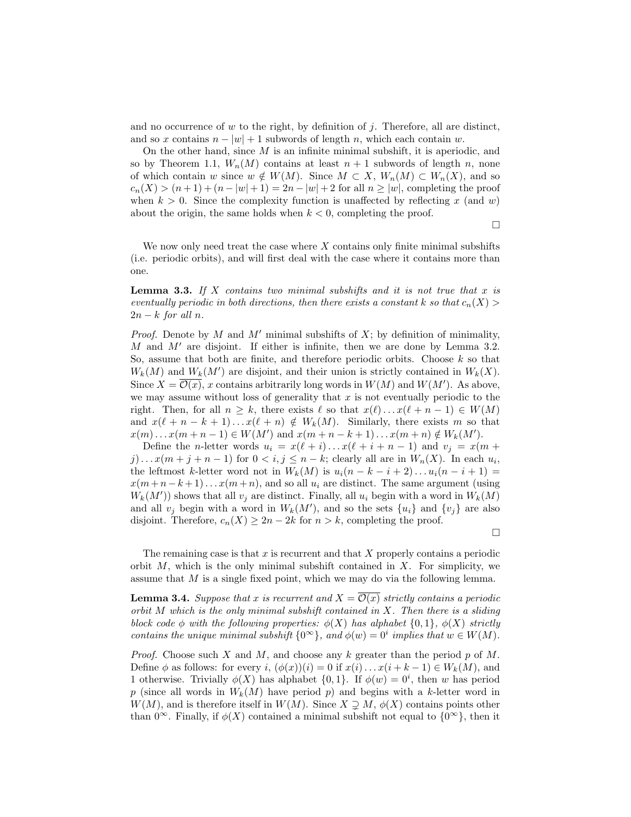and no occurrence of  $w$  to the right, by definition of  $j$ . Therefore, all are distinct, and so x contains  $n - |w| + 1$  subwords of length n, which each contain w.

On the other hand, since  $M$  is an infinite minimal subshift, it is aperiodic, and so by Theorem 1.1,  $W_n(M)$  contains at least  $n + 1$  subwords of length n, none of which contain w since  $w \notin W(M)$ . Since  $M \subset X$ ,  $W_n(M) \subset W_n(X)$ , and so  $c_n(X) > (n+1) + (n - |w| + 1) = 2n - |w| + 2$  for all  $n \ge |w|$ , completing the proof when  $k > 0$ . Since the complexity function is unaffected by reflecting x (and w) about the origin, the same holds when  $k < 0$ , completing the proof.

 $\Box$ 

We now only need treat the case where  $X$  contains only finite minimal subshifts (i.e. periodic orbits), and will first deal with the case where it contains more than one.

**Lemma 3.3.** If X contains two minimal subshifts and it is not true that x is eventually periodic in both directions, then there exists a constant k so that  $c_n(X)$  $2n - k$  for all n.

*Proof.* Denote by M and M' minimal subshifts of X; by definition of minimality, M and  $M'$  are disjoint. If either is infinite, then we are done by Lemma 3.2. So, assume that both are finite, and therefore periodic orbits. Choose k so that  $W_k(M)$  and  $W_k(M')$  are disjoint, and their union is strictly contained in  $W_k(X)$ . Since  $X = \overline{\mathcal{O}(x)}$ , x contains arbitrarily long words in  $W(M)$  and  $W(M')$ . As above, we may assume without loss of generality that  $x$  is not eventually periodic to the right. Then, for all  $n \geq k$ , there exists  $\ell$  so that  $x(\ell) \dots x(\ell + n - 1) \in W(M)$ and  $x(\ell + n - k + 1)... x(\ell + n) \notin W_k(M)$ . Similarly, there exists m so that  $x(m) \dots x(m+n-1) \in W(M')$  and  $x(m+n-k+1) \dots x(m+n) \notin W_k(M')$ .

Define the *n*-letter words  $u_i = x(\ell + i) \dots x(\ell + i + n - 1)$  and  $v_j = x(m + i)$  $j) \dots x(m+j+n-1)$  for  $0 < i, j \le n-k$ ; clearly all are in  $W_n(X)$ . In each  $u_i$ , the leftmost k-letter word not in  $W_k(M)$  is  $u_i(n - k - i + 2) \dots u_i(n - i + 1) =$  $x(m+n-k+1)...x(m+n)$ , and so all  $u_i$  are distinct. The same argument (using  $W_k(M')$  shows that all  $v_j$  are distinct. Finally, all  $u_i$  begin with a word in  $W_k(M)$ and all  $v_j$  begin with a word in  $W_k(M')$ , and so the sets  $\{u_i\}$  and  $\{v_j\}$  are also disjoint. Therefore,  $c_n(X) \geq 2n - 2k$  for  $n > k$ , completing the proof.

 $\Box$ 

The remaining case is that  $x$  is recurrent and that  $X$  properly contains a periodic orbit  $M$ , which is the only minimal subshift contained in  $X$ . For simplicity, we assume that  $M$  is a single fixed point, which we may do via the following lemma.

**Lemma 3.4.** Suppose that x is recurrent and  $X = \overline{\mathcal{O}(x)}$  strictly contains a periodic orbit  $M$  which is the only minimal subshift contained in  $X$ . Then there is a sliding block code  $\phi$  with the following properties:  $\phi(X)$  has alphabet  $\{0,1\}$ ,  $\phi(X)$  strictly contains the unique minimal subshift  $\{0^{\infty}\}\$ , and  $\phi(w) = 0^i$  implies that  $w \in W(M)$ .

*Proof.* Choose such X and M, and choose any k greater than the period p of M. Define  $\phi$  as follows: for every i,  $(\phi(x))(i) = 0$  if  $x(i) \dots x(i + k - 1) \in W_k(M)$ , and 1 otherwise. Trivially  $\phi(X)$  has alphabet  $\{0,1\}$ . If  $\phi(w) = 0^i$ , then w has period p (since all words in  $W_k(M)$  have period p) and begins with a k-letter word in  $W(M)$ , and is therefore itself in  $W(M)$ . Since  $X \supseteq M$ ,  $\phi(X)$  contains points other than  $0^{\infty}$ . Finally, if  $\phi(X)$  contained a minimal subshift not equal to  $\{0^{\infty}\}\,$ , then it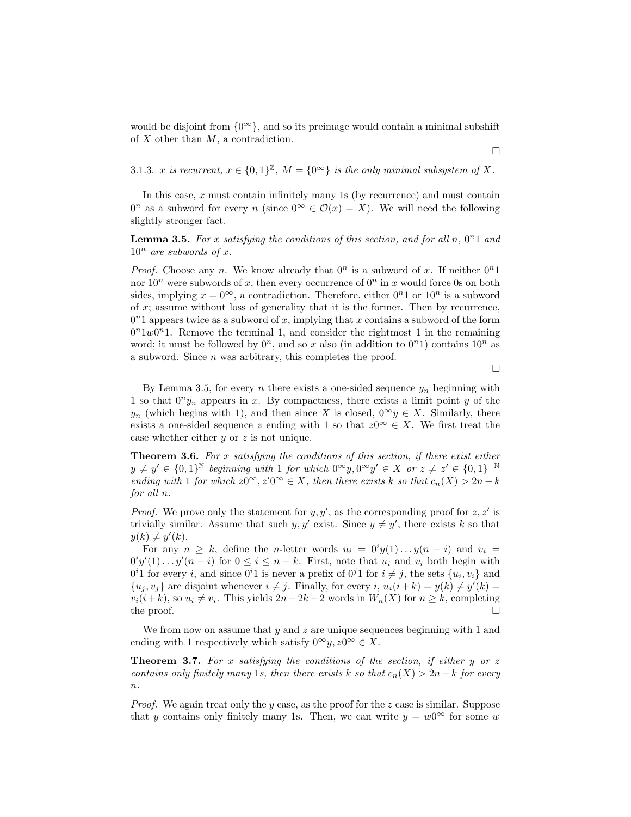would be disjoint from  $\{0^{\infty}\}\$ , and so its preimage would contain a minimal subshift of  $X$  other than  $M$ , a contradiction.

3.1.3. x is recurrent,  $x \in \{0,1\}^{\mathbb{Z}}$ ,  $M = \{0^{\infty}\}\$ is the only minimal subsystem of X.

In this case,  $x$  must contain infinitely many 1s (by recurrence) and must contain  $0^n$  as a subword for every n (since  $0^{\infty} \in \overline{\mathcal{O}(x)} = X$ ). We will need the following slightly stronger fact.

**Lemma 3.5.** For x satisfying the conditions of this section, and for all  $n, 0<sup>n</sup>1$  and  $10^n$  are subwords of x.

*Proof.* Choose any n. We know already that  $0^n$  is a subword of x. If neither  $0^n1$ nor  $10^n$  were subwords of x, then every occurrence of  $0^n$  in x would force 0s on both sides, implying  $x = 0^{\infty}$ , a contradiction. Therefore, either  $0^{n}1$  or  $10^{n}$  is a subword of  $x$ ; assume without loss of generality that it is the former. Then by recurrence,  $0<sup>n</sup>1$  appears twice as a subword of x, implying that x contains a subword of the form  $0<sup>n</sup>1w0<sup>n</sup>1$ . Remove the terminal 1, and consider the rightmost 1 in the remaining word; it must be followed by  $0^n$ , and so x also (in addition to  $0^n$ 1) contains  $10^n$  as a subword. Since n was arbitrary, this completes the proof.

 $\Box$ 

By Lemma 3.5, for every n there exists a one-sided sequence  $y_n$  beginning with 1 so that  $0<sup>n</sup>y<sub>n</sub>$  appears in x. By compactness, there exists a limit point y of the  $y_n$  (which begins with 1), and then since X is closed,  $0^{\infty}y \in X$ . Similarly, there exists a one-sided sequence z ending with 1 so that  $z0^{\infty} \in X$ . We first treat the case whether either y or z is not unique.

**Theorem 3.6.** For x satisfying the conditions of this section, if there exist either  $y \neq y' \in \{0,1\}^{\mathbb{N}}$  beginning with 1 for which  $0^{\infty}y, 0^{\infty}y' \in X$  or  $z \neq z' \in \{0,1\}^{-\mathbb{N}}$ ending with 1 for which  $z0^{\infty}$ ,  $z'0^{\infty} \in X$ , then there exists k so that  $c_n(X) > 2n - k$ for all n.

*Proof.* We prove only the statement for  $y, y'$ , as the corresponding proof for  $z, z'$  is trivially similar. Assume that such  $y, y'$  exist. Since  $y \neq y'$ , there exists k so that  $y(k) \neq y'(k)$ .

For any  $n \geq k$ , define the *n*-letter words  $u_i = 0^i y(1) \dots y(n - i)$  and  $v_i =$  $0^i y'(1) \dots y'(n-i)$  for  $0 \le i \le n-k$ . First, note that  $u_i$  and  $v_i$  both begin with  $0<sup>i</sup>$  1 for every *i*, and since  $0<sup>i</sup>$  1 is never a prefix of  $0<sup>j</sup>$  1 for  $i \neq j$ , the sets  $\{u_i, v_i\}$  and  $\{u_j, v_j\}$  are disjoint whenever  $i \neq j$ . Finally, for every i,  $u_i(i+k) = y(k) \neq y'(k) =$  $v_i(i+k)$ , so  $u_i \neq v_i$ . This yields  $2n-2k+2$  words in  $W_n(X)$  for  $n \geq k$ , completing the proof.  $\Box$ 

We from now on assume that  $y$  and  $z$  are unique sequences beginning with 1 and ending with 1 respectively which satisfy  $0^{\infty}y, z0^{\infty} \in X$ .

**Theorem 3.7.** For x satisfying the conditions of the section, if either y or z contains only finitely many 1s, then there exists k so that  $c_n(X) > 2n - k$  for every  $\overline{n}$ .

*Proof.* We again treat only the y case, as the proof for the z case is similar. Suppose that y contains only finitely many 1s. Then, we can write  $y = w0^{\infty}$  for some w

 $\Box$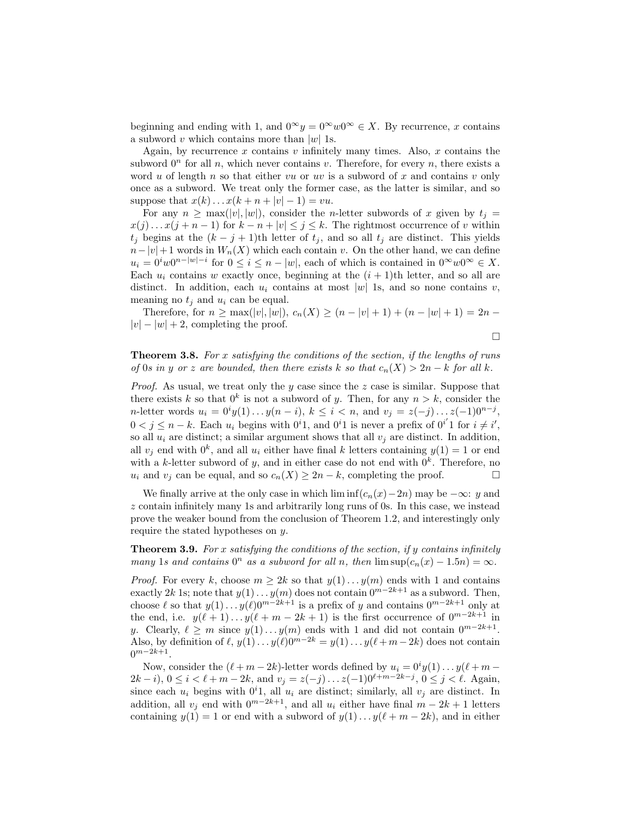beginning and ending with 1, and  $0^{\infty}y = 0^{\infty}w0^{\infty} \in X$ . By recurrence, x contains a subword v which contains more than  $|w|$  1s.

Again, by recurrence  $x$  contains  $v$  infinitely many times. Also,  $x$  contains the subword  $0<sup>n</sup>$  for all n, which never contains v. Therefore, for every n, there exists a word u of length n so that either vu or uv is a subword of x and contains v only once as a subword. We treat only the former case, as the latter is similar, and so suppose that  $x(k) \dots x(k+n+|v|-1) = vu$ .

For any  $n \geq \max(|v|, |w|)$ , consider the *n*-letter subwords of x given by  $t_i =$  $x(j) \dots x(j+n-1)$  for  $k-n+|v| \leq j \leq k$ . The rightmost occurrence of v within  $t_j$  begins at the  $(k - j + 1)$ th letter of  $t_j$ , and so all  $t_j$  are distinct. This yields  $n-|v|+1$  words in  $W_n(X)$  which each contain v. On the other hand, we can define  $u_i = 0^i w 0^{n-|w|-i}$  for  $0 \leq i \leq n-|w|$ , each of which is contained in  $0^{\infty} w 0^{\infty} \in X$ . Each  $u_i$  contains w exactly once, beginning at the  $(i + 1)$ th letter, and so all are distinct. In addition, each  $u_i$  contains at most |w| 1s, and so none contains v, meaning no  $t_j$  and  $u_i$  can be equal.

Therefore, for  $n \ge \max(|v|, |w|), c_n(X) \ge (n - |v| + 1) + (n - |w| + 1) = 2n - 1$  $|v| - |w| + 2$ , completing the proof.

$$
\Box
$$

**Theorem 3.8.** For x satisfying the conditions of the section, if the lengths of runs of 0s in y or z are bounded, then there exists k so that  $c_n(X) > 2n - k$  for all k.

*Proof.* As usual, we treat only the y case since the z case is similar. Suppose that there exists k so that  $0^k$  is not a subword of y. Then, for any  $n > k$ , consider the *n*-letter words  $u_i = 0^i y(1) \dots y(n - i)$ ,  $k \le i < n$ , and  $v_j = z(-j) \dots z(-1)0^{n - j}$ ,  $0 < j \leq n - k$ . Each  $u_i$  begins with  $0^i$ 1, and  $0^i$ 1 is never a prefix of  $0^{i'}$ 1 for  $i \neq i'$ , so all  $u_i$  are distinct; a similar argument shows that all  $v_i$  are distinct. In addition, all  $v_j$  end with  $0^k$ , and all  $u_i$  either have final k letters containing  $y(1) = 1$  or end with a k-letter subword of y, and in either case do not end with  $0<sup>k</sup>$ . Therefore, no  $u_i$  and  $v_i$  can be equal, and so  $c_n(X) \geq 2n - k$ , completing the proof.

We finally arrive at the only case in which lim inf( $c_n(x)-2n$ ) may be  $-\infty$ : y and z contain infinitely many 1s and arbitrarily long runs of 0s. In this case, we instead prove the weaker bound from the conclusion of Theorem 1.2, and interestingly only require the stated hypotheses on  $y$ .

**Theorem 3.9.** For x satisfying the conditions of the section, if y contains infinitely many 1s and contains  $0^n$  as a subword for all n, then  $\limsup(c_n(x) - 1.5n) = \infty$ .

*Proof.* For every k, choose  $m \geq 2k$  so that  $y(1) \dots y(m)$  ends with 1 and contains exactly 2k 1s; note that  $y(1) \ldots y(m)$  does not contain  $0^{m-2k+1}$  as a subword. Then, choose  $\ell$  so that  $y(1) \ldots y(\ell)0^{m-2k+1}$  is a prefix of y and contains  $0^{m-2k+1}$  only at the end, i.e.  $y(\ell + 1)... y(\ell + m - 2k + 1)$  is the first occurrence of  $0^{m-2k+1}$  in y. Clearly,  $\ell \geq m$  since  $y(1) \ldots y(m)$  ends with 1 and did not contain  $0^{m-2k+1}$ . Also, by definition of  $\ell$ ,  $y(1) \ldots y(\ell)0^{m-2k} = y(1) \ldots y(\ell+m-2k)$  does not contain  $0^{m-2k+1}$ .

Now, consider the  $(\ell + m - 2k)$ -letter words defined by  $u_i = 0^i y(1) \dots y(\ell + m - 1)$  $2k - i$ ,  $0 \le i < \ell + m - 2k$ , and  $v_j = z(-j) \dots z(-1)0^{\ell+m-2k-j}$ ,  $0 \le j < \ell$ . Again, since each  $u_i$  begins with  $0^i$ 1, all  $u_i$  are distinct; similarly, all  $v_j$  are distinct. In addition, all  $v_i$  end with  $0^{m-2k+1}$ , and all  $u_i$  either have final  $m-2k+1$  letters containing  $y(1) = 1$  or end with a subword of  $y(1) \dots y(\ell + m - 2k)$ , and in either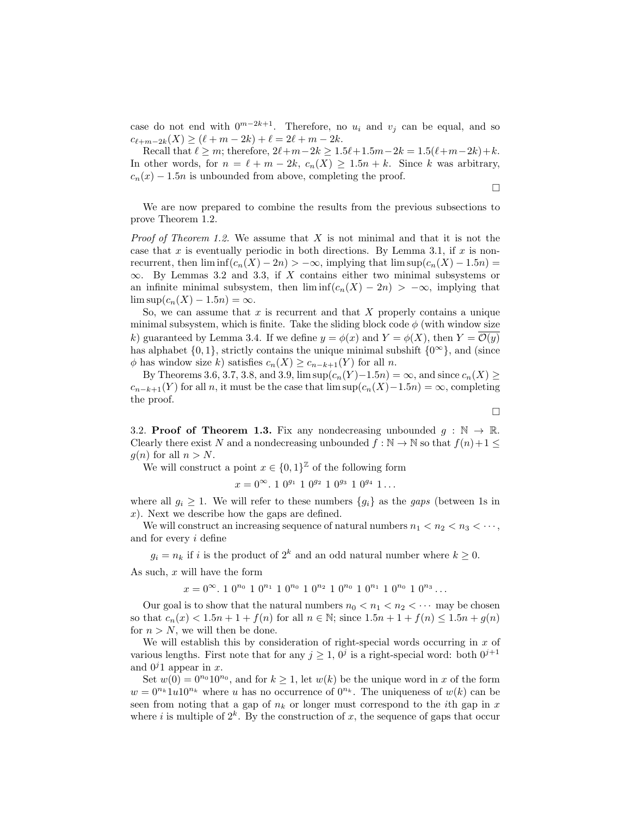case do not end with  $0^{m-2k+1}$ . Therefore, no  $u_i$  and  $v_j$  can be equal, and so  $c_{\ell+m-2k}(X) \ge (\ell + m - 2k) + \ell = 2\ell + m - 2k.$ 

Recall that  $\ell \ge m$ ; therefore,  $2\ell+m-2k \ge 1.5\ell+1.5m-2k = 1.5(\ell+m-2k)+k$ . In other words, for  $n = \ell + m - 2k$ ,  $c_n(X) \geq 1.5n + k$ . Since k was arbitrary,  $c_n(x) - 1.5n$  is unbounded from above, completing the proof.

 $\Box$ 

We are now prepared to combine the results from the previous subsections to prove Theorem 1.2.

*Proof of Theorem 1.2.* We assume that  $X$  is not minimal and that it is not the case that x is eventually periodic in both directions. By Lemma 3.1, if x is nonrecurrent, then  $\liminf(c_n(X) - 2n) > -\infty$ , implying that  $\limsup(c_n(X) - 1.5n) =$  $\infty$ . By Lemmas 3.2 and 3.3, if X contains either two minimal subsystems or an infinite minimal subsystem, then  $\liminf(c_n(X) - 2n) > -\infty$ , implying that  $\limsup(c_n(X) - 1.5n) = \infty$ .

So, we can assume that  $x$  is recurrent and that  $X$  properly contains a unique minimal subsystem, which is finite. Take the sliding block code  $\phi$  (with window size k) guaranteed by Lemma 3.4. If we define  $y = \phi(x)$  and  $Y = \phi(X)$ , then  $Y = \mathcal{O}(y)$ has alphabet  $\{0, 1\}$ , strictly contains the unique minimal subshift  $\{0^{\infty}\}$ , and (since  $\phi$  has window size k) satisfies  $c_n(X) \geq c_{n-k+1}(Y)$  for all n.

By Theorems 3.6, 3.7, 3.8, and 3.9,  $\limsup(c_n(Y)-1.5n) = \infty$ , and since  $c_n(X) \ge$  $c_{n-k+1}(Y)$  for all n, it must be the case that lim sup $(c_n(X)-1.5n) = \infty$ , completing the proof.

 $\Box$ 

3.2. **Proof of Theorem 1.3.** Fix any nondecreasing unbounded  $g : \mathbb{N} \to \mathbb{R}$ . Clearly there exist N and a nondecreasing unbounded  $f : \mathbb{N} \to \mathbb{N}$  so that  $f(n)+1 \leq$  $g(n)$  for all  $n > N$ .

We will construct a point  $x \in \{0,1\}^{\mathbb{Z}}$  of the following form

 $x = 0^{\infty}$ . 1  $0^{g_1}$  1  $0^{g_2}$  1  $0^{g_3}$  1  $0^{g_4}$  1...

where all  $g_i \geq 1$ . We will refer to these numbers  $\{g_i\}$  as the gaps (between 1s in x). Next we describe how the gaps are defined.

We will construct an increasing sequence of natural numbers  $n_1 < n_2 < n_3 < \cdots$ , and for every i define

 $g_i = n_k$  if i is the product of  $2^k$  and an odd natural number where  $k \geq 0$ .

As such,  $x$  will have the form

 $x = 0^{\infty}$ . 1  $0^{n_0}$  1  $0^{n_1}$  1  $0^{n_0}$  1  $0^{n_2}$  1  $0^{n_0}$  1  $0^{n_1}$  1  $0^{n_0}$  1  $0^{n_3}$  ...

Our goal is to show that the natural numbers  $n_0 < n_1 < n_2 < \cdots$  may be chosen so that  $c_n(x) < 1.5n + 1 + f(n)$  for all  $n \in \mathbb{N}$ ; since  $1.5n + 1 + f(n) \leq 1.5n + g(n)$ for  $n > N$ , we will then be done.

We will establish this by consideration of right-special words occurring in  $x$  of various lengths. First note that for any  $j \geq 1$ ,  $0^j$  is a right-special word: both  $0^{j+1}$ and  $0<sup>j</sup>1$  appear in x.

Set  $w(0) = 0^{n_0} 10^{n_0}$ , and for  $k \ge 1$ , let  $w(k)$  be the unique word in x of the form  $w = 0^{n_k} 1u10^{n_k}$  where u has no occurrence of  $0^{n_k}$ . The uniqueness of  $w(k)$  can be seen from noting that a gap of  $n_k$  or longer must correspond to the *i*th gap in x where i is multiple of  $2^k$ . By the construction of x, the sequence of gaps that occur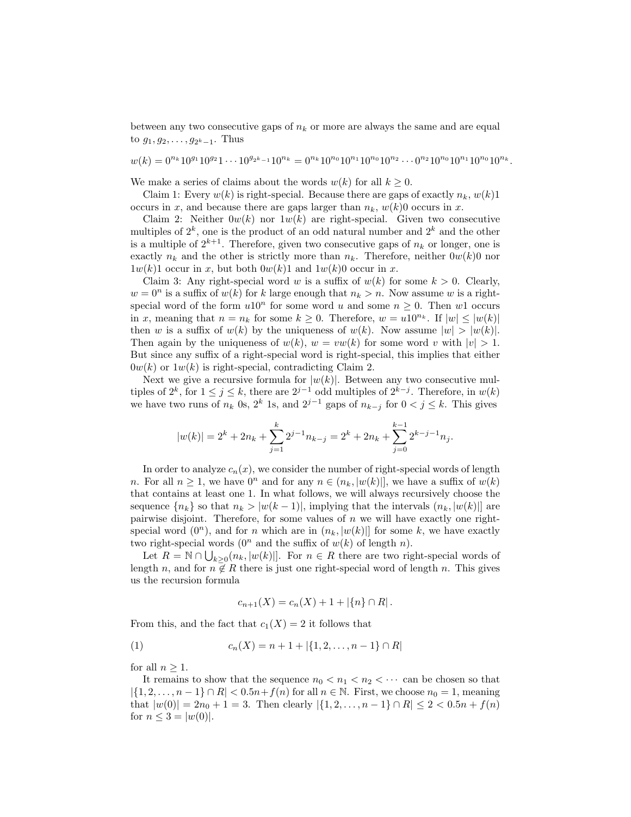between any two consecutive gaps of  $n_k$  or more are always the same and are equal to  $g_1, g_2, \ldots, g_{2^k-1}$ . Thus

 $w(k) = 0^{n_k} 10^{g_1} 10^{g_2} 1 \cdots 10^{g_{2^k-1}} 10^{n_k} = 0^{n_k} 10^{n_0} 10^{n_1} 10^{n_0} 10^{n_2} \cdots 0^{n_2} 10^{n_0} 10^{n_1} 10^{n_0} 10^{n_k}.$ 

We make a series of claims about the words  $w(k)$  for all  $k \geq 0$ .

Claim 1: Every  $w(k)$  is right-special. Because there are gaps of exactly  $n_k, w(k)1$ occurs in x, and because there are gaps larger than  $n_k$ ,  $w(k)0$  occurs in x.

Claim 2: Neither  $0w(k)$  nor  $1w(k)$  are right-special. Given two consecutive multiples of  $2^k$ , one is the product of an odd natural number and  $2^k$  and the other is a multiple of  $2^{k+1}$ . Therefore, given two consecutive gaps of  $n_k$  or longer, one is exactly  $n_k$  and the other is strictly more than  $n_k$ . Therefore, neither  $0w(k)0$  nor  $1w(k)1$  occur in x, but both  $0w(k)1$  and  $1w(k)0$  occur in x.

Claim 3: Any right-special word w is a suffix of  $w(k)$  for some  $k > 0$ . Clearly,  $w = 0^n$  is a suffix of  $w(k)$  for k large enough that  $n_k > n$ . Now assume w is a rightspecial word of the form  $u10^n$  for some word u and some  $n \geq 0$ . Then w1 occurs in x, meaning that  $n = n_k$  for some  $k \geq 0$ . Therefore,  $w = u10^{n_k}$ . If  $|w| \leq |w(k)|$ then w is a suffix of  $w(k)$  by the uniqueness of  $w(k)$ . Now assume  $|w| > |w(k)|$ . Then again by the uniqueness of  $w(k)$ ,  $w = vw(k)$  for some word v with  $|v| > 1$ . But since any suffix of a right-special word is right-special, this implies that either  $0w(k)$  or  $1w(k)$  is right-special, contradicting Claim 2.

Next we give a recursive formula for  $|w(k)|$ . Between any two consecutive multiples of  $2^k$ , for  $1 \leq j \leq k$ , there are  $2^{j-1}$  odd multiples of  $2^{k-j}$ . Therefore, in  $w(k)$ we have two runs of  $n_k$  0s,  $2^k$  1s, and  $2^{j-1}$  gaps of  $n_{k-j}$  for  $0 < j \le k$ . This gives

$$
|w(k)| = 2^{k} + 2n_{k} + \sum_{j=1}^{k} 2^{j-1} n_{k-j} = 2^{k} + 2n_{k} + \sum_{j=0}^{k-1} 2^{k-j-1} n_{j}.
$$

In order to analyze  $c_n(x)$ , we consider the number of right-special words of length n. For all  $n \geq 1$ , we have  $0^n$  and for any  $n \in (n_k, |w(k)|]$ , we have a suffix of  $w(k)$ that contains at least one 1. In what follows, we will always recursively choose the sequence  $\{n_k\}$  so that  $n_k > |w(k-1)|$ , implying that the intervals  $(n_k, |w(k)|)$  are pairwise disjoint. Therefore, for some values of  $n$  we will have exactly one rightspecial word  $(0^n)$ , and for *n* which are in  $(n_k, |w(k)|)$  for some k, we have exactly two right-special words  $(0<sup>n</sup>$  and the suffix of  $w(k)$  of length n).

Let  $R = \mathbb{N} \cap \bigcup_{k \geq 0} (n_k, |w(k)|]$ . For  $n \in R$  there are two right-special words of length n, and for  $n \in \mathbb{R}$  there is just one right-special word of length n. This gives us the recursion formula

$$
c_{n+1}(X) = c_n(X) + 1 + |\{n\} \cap R|.
$$

From this, and the fact that  $c_1(X) = 2$  it follows that

$$
(1) \t\t c_n(X) = n + 1 + |\{1, 2, \dots, n - 1\} \cap R|
$$

for all  $n \geq 1$ .

It remains to show that the sequence  $n_0 < n_1 < n_2 < \cdots$  can be chosen so that  $|\{1, 2, \ldots, n-1\} \cap R| < 0.5n + f(n)$  for all  $n \in \mathbb{N}$ . First, we choose  $n_0 = 1$ , meaning that  $|w(0)| = 2n_0 + 1 = 3$ . Then clearly  $|\{1, 2, ..., n-1\} \cap R| \leq 2 < 0.5n + f(n)$ for  $n \leq 3 = |w(0)|$ .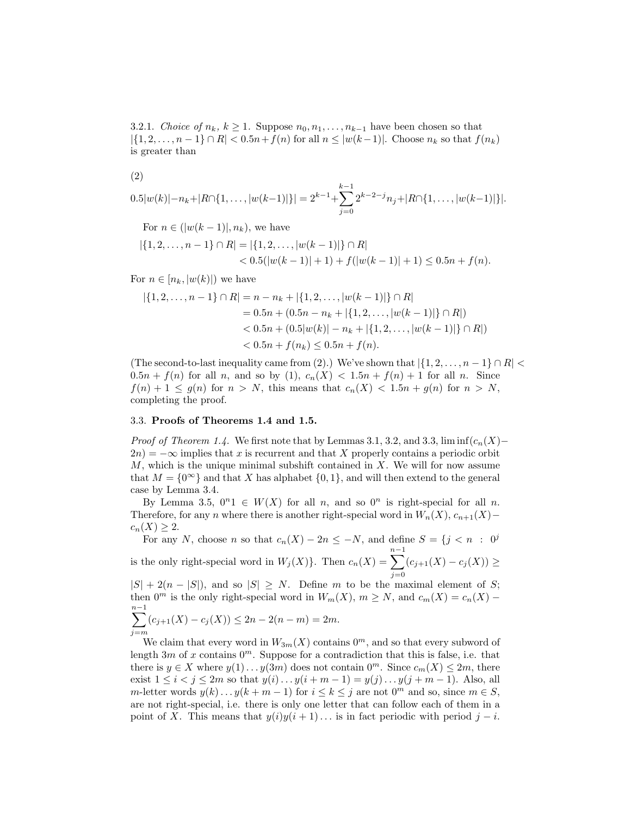3.2.1. Choice of  $n_k, k \geq 1$ . Suppose  $n_0, n_1, \ldots, n_{k-1}$  have been chosen so that  $|\{1, 2, \ldots, n-1\} \cap R| < 0.5n + f(n)$  for all  $n \leq |w(k-1)|$ . Choose  $n_k$  so that  $f(n_k)$ is greater than

(2)

$$
0.5|w(k)|-n_k+|R\cap\{1,\ldots,|w(k-1)|\}|=2^{k-1}+\sum_{j=0}^{k-1}2^{k-2-j}n_j+|R\cap\{1,\ldots,|w(k-1)|\}|.
$$

For  $n \in (|w(k-1)|, n_k)$ , we have

$$
|\{1, 2, \dots, n-1\} \cap R| = |\{1, 2, \dots, |w(k-1)|\} \cap R|
$$
  
< 
$$
< 0.5(|w(k-1)|+1) + f(|w(k-1)|+1) \le 0.5n + f(n).
$$

For  $n \in [n_k, |w(k)|)$  we have

$$
|\{1, 2, \dots, n-1\} \cap R| = n - n_k + |\{1, 2, \dots, |w(k-1)|\} \cap R|
$$
  
= 0.5n + (0.5n - n\_k + |\{1, 2, \dots, |w(k-1)|\} \cap R|)  
< 0.5n + (0.5|w(k)| - n\_k + |\{1, 2, \dots, |w(k-1)|\} \cap R|)  
< 0.5n + f(n\_k) \le 0.5n + f(n).

(The second-to-last inequality came from (2).) We've shown that  $|\{1, 2, \ldots, n-1\} \cap R|$  $0.5n + f(n)$  for all n, and so by  $(1)$ ,  $c_n(X) < 1.5n + f(n) + 1$  for all n. Since  $f(n) + 1 \leq g(n)$  for  $n > N$ , this means that  $c_n(X) < 1.5n + g(n)$  for  $n > N$ , completing the proof.

## 3.3. Proofs of Theorems 1.4 and 1.5.

*Proof of Theorem 1.4.* We first note that by Lemmas 3.1, 3.2, and 3.3, lim inf $(c_n(X)$ −  $2n = -\infty$  implies that x is recurrent and that X properly contains a periodic orbit  $M$ , which is the unique minimal subshift contained in  $X$ . We will for now assume that  $M = \{0^{\infty}\}\$ and that X has alphabet  $\{0, 1\}$ , and will then extend to the general case by Lemma 3.4.

By Lemma 3.5,  $0^n1 \in W(X)$  for all n, and so  $0^n$  is right-special for all n. Therefore, for any n where there is another right-special word in  $W_n(X)$ ,  $c_{n+1}(X)$ −  $c_n(X) \geq 2$ .

For any N, choose n so that  $c_n(X) - 2n \leq -N$ , and define  $S = \{j \leq n : 0^j\}$  $\sum^{n-1}$ 

is the only right-special word in  $W_j(X)$ . Then  $c_n(X)$  =  $j=0$  $(c_{j+1}(X) - c_j(X)) \ge$ 

 $|S| + 2(n - |S|)$ , and so  $|S| \geq N$ . Define m to be the maximal element of S; then 0<sup>m</sup> is the only right-special word in  $W_m(X)$ ,  $m \ge N$ , and  $c_m(X) = c_n(X)$  −  $\sum^{n-1}$ 

$$
\sum_{j=m} (c_{j+1}(X) - c_j(X)) \le 2n - 2(n-m) = 2m.
$$

We claim that every word in  $W_{3m}(X)$  contains  $0^m$ , and so that every subword of length  $3m$  of x contains  $0^m$ . Suppose for a contradiction that this is false, i.e. that there is  $y \in X$  where  $y(1) \ldots y(3m)$  does not contain  $0^m$ . Since  $c_m(X) \leq 2m$ , there exist  $1 \le i < j \le 2m$  so that  $y(i) \dots y(i+m-1) = y(j) \dots y(j+m-1)$ . Also, all m-letter words  $y(k) \dots y(k+m-1)$  for  $i \le k \le j$  are not  $0^m$  and so, since  $m \in S$ , are not right-special, i.e. there is only one letter that can follow each of them in a point of X. This means that  $y(i)y(i + 1)...$  is in fact periodic with period  $j - i$ .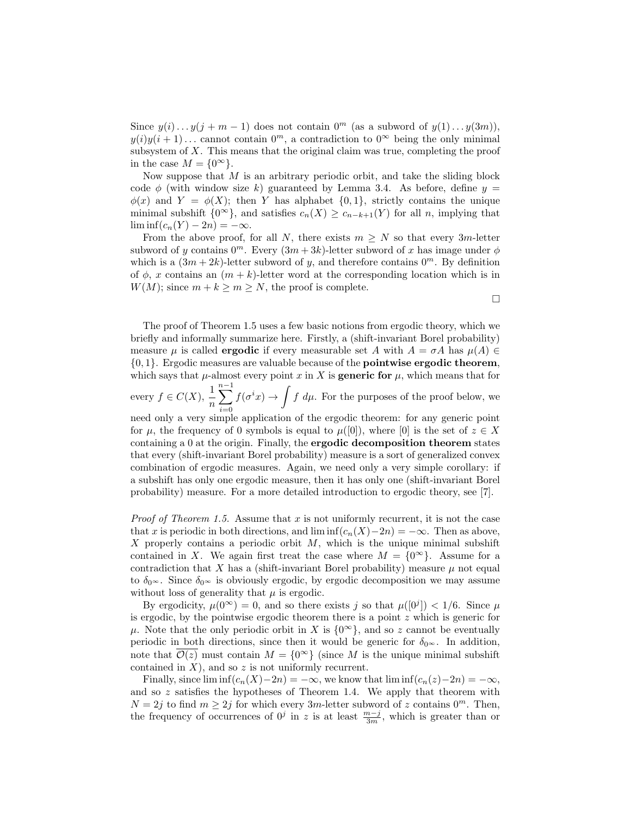Since  $y(i) \dots y(j+m-1)$  does not contain  $0^m$  (as a subword of  $y(1) \dots y(3m)$ ),  $y(i)y(i + 1)...$  cannot contain  $0<sup>m</sup>$ , a contradiction to  $0<sup>\infty</sup>$  being the only minimal subsystem of  $X$ . This means that the original claim was true, completing the proof in the case  $M = \{0^{\infty}\}.$ 

Now suppose that  $M$  is an arbitrary periodic orbit, and take the sliding block code  $\phi$  (with window size k) guaranteed by Lemma 3.4. As before, define  $y =$  $\phi(x)$  and  $Y = \phi(X)$ ; then Y has alphabet  $\{0, 1\}$ , strictly contains the unique minimal subshift  $\{0^{\infty}\}\$ , and satisfies  $c_n(X) \geq c_{n-k+1}(Y)$  for all n, implying that  $\liminf(c_n(Y) - 2n) = -\infty.$ 

From the above proof, for all N, there exists  $m \geq N$  so that every 3m-letter subword of y contains  $0^m$ . Every  $(3m+3k)$ -letter subword of x has image under  $\phi$ which is a  $(3m + 2k)$ -letter subword of y, and therefore contains  $0<sup>m</sup>$ . By definition of  $\phi$ , x contains an  $(m + k)$ -letter word at the corresponding location which is in  $W(M)$ ; since  $m + k \ge m \ge N$ , the proof is complete.

 $\Box$ 

The proof of Theorem 1.5 uses a few basic notions from ergodic theory, which we briefly and informally summarize here. Firstly, a (shift-invariant Borel probability) measure  $\mu$  is called **ergodic** if every measurable set A with  $A = \sigma A$  has  $\mu(A) \in$  $\{0, 1\}$ . Ergodic measures are valuable because of the **pointwise ergodic theorem**, which says that  $\mu$ -almost every point x in X is **generic for**  $\mu$ , which means that for

every  $f \in C(X)$ ,  $\frac{1}{n}$  $\sum^{n-1}$  $i=0$  $f(\sigma^i x) \to \int f d\mu$ . For the purposes of the proof below, we

need only a very simple application of the ergodic theorem: for any generic point for  $\mu$ , the frequency of 0 symbols is equal to  $\mu([0])$ , where [0] is the set of  $z \in X$ containing a 0 at the origin. Finally, the ergodic decomposition theorem states that every (shift-invariant Borel probability) measure is a sort of generalized convex combination of ergodic measures. Again, we need only a very simple corollary: if a subshift has only one ergodic measure, then it has only one (shift-invariant Borel probability) measure. For a more detailed introduction to ergodic theory, see [7].

*Proof of Theorem 1.5.* Assume that x is not uniformly recurrent, it is not the case that x is periodic in both directions, and  $\liminf(c_n(X)-2n) = -\infty$ . Then as above, X properly contains a periodic orbit  $M$ , which is the unique minimal subshift contained in X. We again first treat the case where  $M = \{0^{\infty}\}\.$  Assume for a contradiction that X has a (shift-invariant Borel probability) measure  $\mu$  not equal to  $\delta_{0^{\infty}}$ . Since  $\delta_{0^{\infty}}$  is obviously ergodic, by ergodic decomposition we may assume without loss of generality that  $\mu$  is ergodic.

By ergodicity,  $\mu(0^{\infty}) = 0$ , and so there exists j so that  $\mu([0^j]) < 1/6$ . Since  $\mu$ is ergodic, by the pointwise ergodic theorem there is a point  $z$  which is generic for  $\mu$ . Note that the only periodic orbit in X is  $\{0^{\infty}\}\$ , and so z cannot be eventually periodic in both directions, since then it would be generic for  $\delta_{0^{\infty}}$ . In addition, note that  $\overline{\mathcal{O}(z)}$  must contain  $M = \{0^{\infty}\}\$  (since M is the unique minimal subshift contained in  $X$ ), and so  $z$  is not uniformly recurrent.

Finally, since  $\liminf(c_n(X)-2n) = -\infty$ , we know that  $\liminf(c_n(z)-2n) = -\infty$ , and so  $z$  satisfies the hypotheses of Theorem 1.4. We apply that theorem with  $N = 2j$  to find  $m \geq 2j$  for which every  $3m$ -letter subword of z contains  $0^m$ . Then, the frequency of occurrences of  $0^j$  in z is at least  $\frac{m-j}{3m}$ , which is greater than or